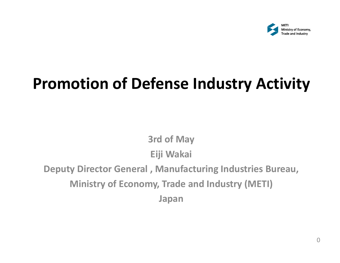

## **Promotion of Defense Industry Activity**

## **3rd of May Eiji Wakai Deputy Director General , Manufacturing Industries Bureau, Mi i n stry of Economy, T d ra <sup>e</sup> and I dn ustry (METI) Japan**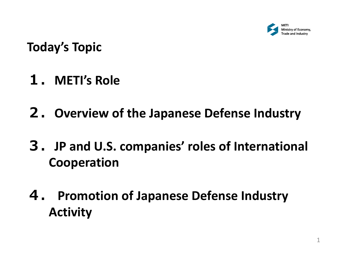

**Today s' Topic**

- **1.METI s' Role**
- **2.Overview of the Japanese Defense Industry**
- **3.JP and U S. . companies companies' roles of International Cooperation**
- **4. Promotion of Japanese Defense Industry Activity**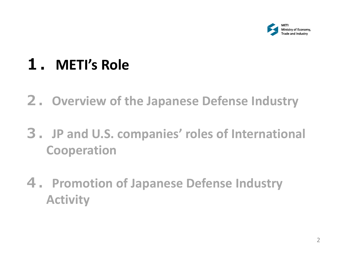

## **1.METI's Role**

- **2.Overview of the Japanese Defense Industry**
- **3.JP and U.S. companies' roles of International C ti ooperation**
- **4.P ti romo on of Japanese D f <sup>e</sup> ense Id <sup>t</sup> <sup>n</sup> us ry Activity**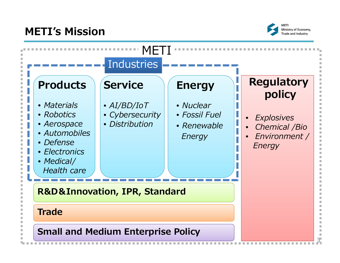#### **METI's Mission Equal Contains and Industry of Economy,**



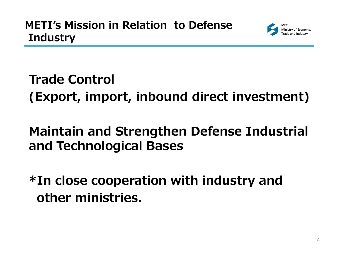**Trade Control (Export, import, inbound direct investment)**

## **Maintain and Strengthen Defense Industrial and Technological Bases**

**\*In close cooperation with industry and In other ministries.**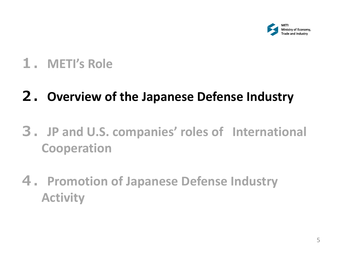

## **1.METI's Role**

## **2.Overview of the Japanese Defense Industry**

- **3.JP and U.S. companies' roles of International Cooperation**
- **4.Promotion of Japanese Defense Industry Activity**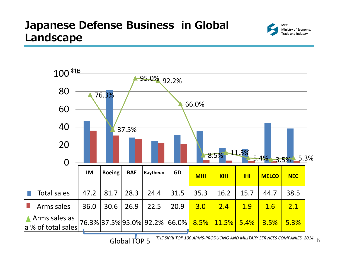#### **Japanese Defense Business in Global Landscape**





*THE SIPRI TOP 100 ARMS‐PRODUCING AND MILITARY SERVICES COMPANIES, <sup>2014</sup>* Global6l TOP 5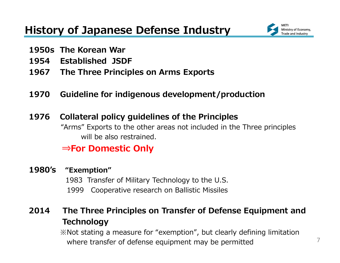

- **1950s The Korean War**
- **1954 Established JSDF**
- **1967 The Three Principles on Arms Exports**
- **1970 Guideline for indigenous development/production**
- **1976Collateral policy guidelines of the Principles** "Arms" Exports to the other areas not included in the Three principles will be also restrained.

## **⇒For Domestic Only For**

**1980's "Exemption"**  1983 Transfer of Military Technology to the U.S. 1999 Cooperative research on Ballistic Missiles

#### **2014 The Three Principles on Transfer of Defense Equipment and Technology**

※Not stating a measure for "exemption", but clearly defining limitation where transfer of defense equipment may be permitted  $7$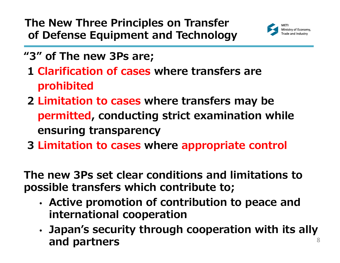**The New Three Principles on Transfer of Defense Equipment and Technology** 



- **"3" of The new 3Ps are;**
	- **1 Clarification of cases where transfers are prohibited**
	- **2 Limitation to cases where transfers may be permitted, conducting strict examination while ensuring transparency**
	- **3 Limitation to cases caseswhere appropriate control control**

**The new 3Ps set clear conditions and limitations to possible transfers which contribute to;**

- • **Active promotion of contribution to peace and international cooperation**
- • **Japan's security through cooperation with its ally and partners** 8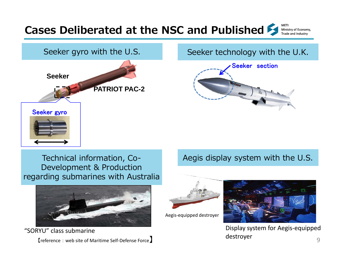#### METICases Deliberated at the NSC and Published e and Industry

#### Seeker gyro with the U.S.



#### Seeker technology with the U.K.



Technical information, Co-Development & Production re gardin g submarines with Australia



"SORYU" class submarine【reference : web site of Maritime Self‐Defense Force 】

#### Aegis display system with the U.S.



Aegis-equipped destroyer



Display system for Aegis‐equipped destroyer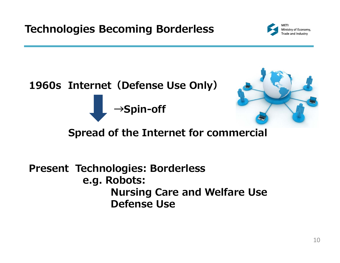**Technologies Becoming Borderless** 





#### **Spread of the Internet for commercial**

#### **Present Technologies: Borderless <sup>e</sup> g Robots: e.g. Nursing Care and Welfare Use Defense Use**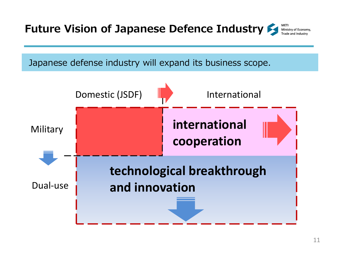## METI **Future Vision of Japanese Defence Industry** e and d Industry Japanese defense industry will expand its business scope. Domestic (JSDF) **International international cooperation Military technological breakthrough** Dual ‐use**and innovation**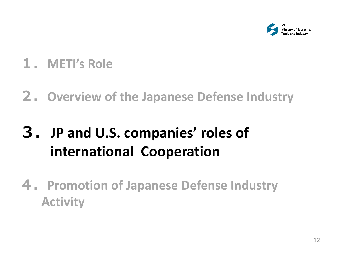

## **1.METI's Role**

## **2.Overview of the Japanese Defense Industry**

## **3.JP and U.S. companies' roles of international Cooperation**

**4.Promotion of Japanese Defense Industry Activity**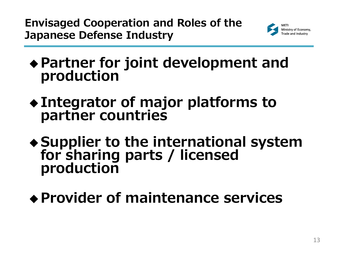**Envisaged Cooperation and Roles of the Japanese Defense Industry** 



- **Partner for joint development and production**
- **Integrator of major platforms to partner** countries
- **Supplier to the international system<br>
for sharing parts / licensed<br>
production**
- **Provider of maintenance services**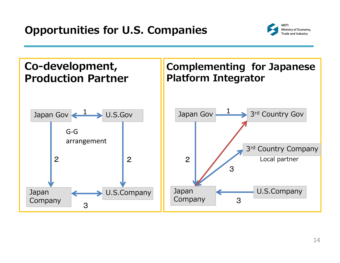

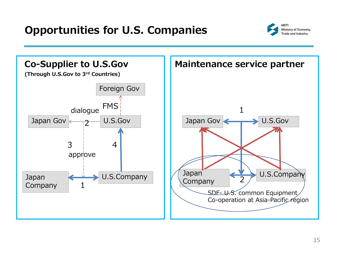**Opportunities for U.S. Companies** 



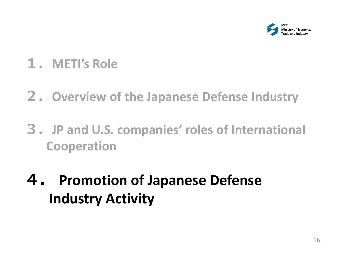

## **1.METI's Role**

- **2.Overview of the Japanese Defense Industry**
- **3.JP and U.S. companies' roles of International Cooperation**
- **4. Promotion of Japanese Defense Industry Activity**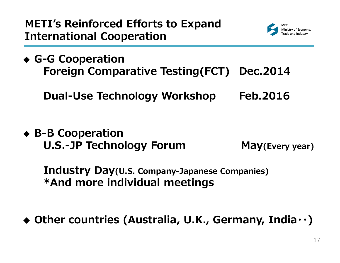**METI's Reinforced Efforts to Expand International Cooperation** 

 **G-G Cooperation Foreign Comparative Testing(FCT) Dec.2014**

**Dual-Use Technology Workshop Feb.2016**

 **B-B Cooperation U.S. -JP Technology Forum May JP May(Every year) (Every**

**Industry Day(U.S. Company-Japanese Companies) \*And more individual meetings**

**Other countries (Australia, U.K., Germany, India・・)**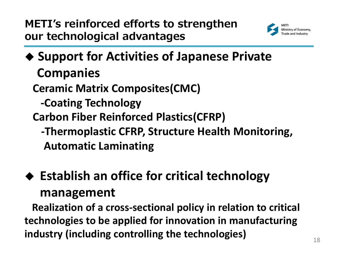## **Support for Activities of Japanese Private Companies**

**Ceramic Matrix Composites(CMC)**

- **‐Coating Technology**
- **C b ar bon Fiber Rif d e n force Pl ti (CFRP) astics(CFRP)**
	- **‐Thermoplastic CFRP, Structure Health Monitoring, Automatic Laminating**

## **Establish an office for critical technology management**

**Realization of a cross ‐sectional policy in relation to critical technologies to be applied for innovation in manufacturing industry (including controlling the technologies)** 18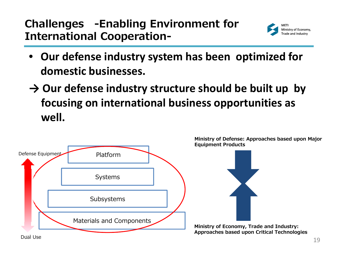### **Challenges -Enabling Environment for International Cooperation-**



- • **Our defense industry system has been optimized for domestic businesses.**
- **→ Our defense industry structure should be built up by focusing on international business opportunities as well.**

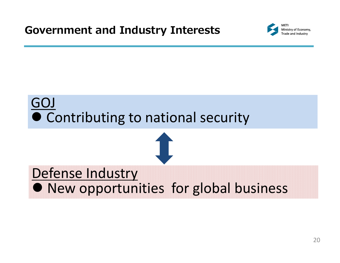Government and Industry Interests



# GOJ  $\bullet$  Contributing to national security Defense Industry New opportunities for global business